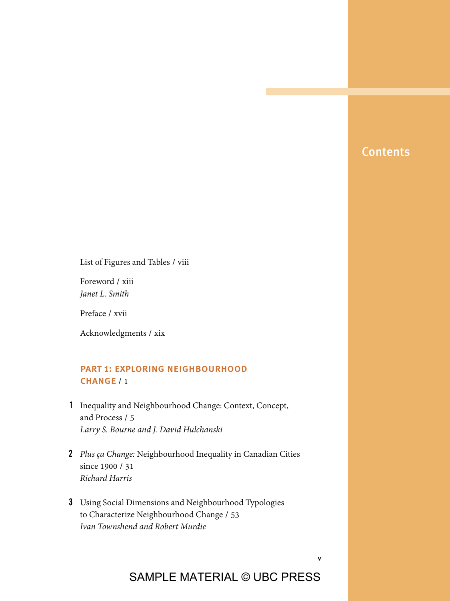# **Contents**

List of Figures and Tables / viii

Foreword / xiii *Janet L. Smith*

Preface / xvii

Acknowledgments / xix

### Part 1: Exploring Neighbourhood CHANGE / 1

- 1 Inequality and Neighbourhood Change: Context, Concept, and Process / 5 *Larry S. Bourne and J. David Hulchanski*
- 2 *Plus ça Change:* Neighbourhood Inequality in Canadian Cities since 1900 / 31 *Richard Harris*
- 3 Using Social Dimensions and Neighbourhood Typologies to Characterize Neighbourhood Change / 53 *Ivan Townshend and Robert Murdie*

v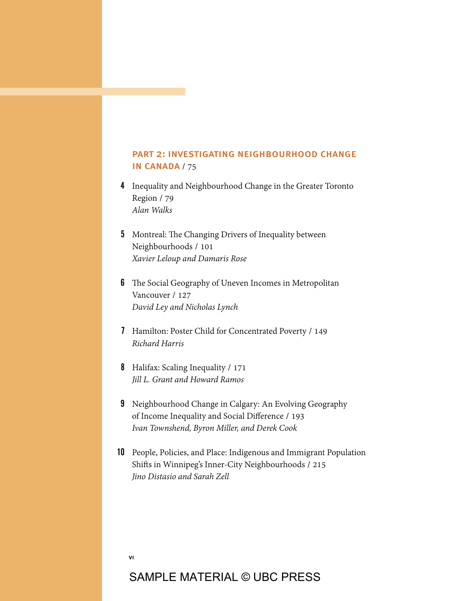### PART 2: INVESTIGATING NEIGHBOURHOOD CHANGE in Canada / 75

- 4 Inequality and Neighbourhood Change in the Greater Toronto Region / 79 *Alan Walks*
- 5 Montreal: The Changing Drivers of Inequality between Neighbourhoods / 101 *Xavier Leloup and Damaris Rose*
- 6 The Social Geography of Uneven Incomes in Metropolitan Vancouver / 127 *David Ley and Nicholas Lynch*
- 7 Hamilton: Poster Child for Concentrated Poverty / 149 *Richard Harris*
- 8 Halifax: Scaling Inequality / 171 *Jill L. Grant and Howard Ramos*
- 9 Neighbourhood Change in Calgary: An Evolving Geography of Income Inequality and Social Difference / 193 *Ivan Townshend, Byron Miller, and Derek Cook*
- 10 People, Policies, and Place: Indigenous and Immigrant Population Shifts in Winnipeg's Inner-City Neighbourhoods / 215 *Jino Distasio and Sarah Zell*

vi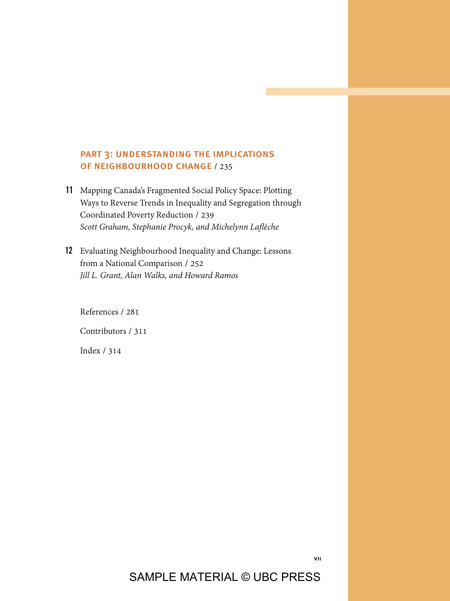### PART 3: UNDERSTANDING THE IMPLICATIONS of Neighbourhood Change / 235

- 11 Mapping Canada's Fragmented Social Policy Space: Plotting Ways to Reverse Trends in Inequality and Segregation through Coordinated Poverty Reduction / 239 *Scott Graham, Stephanie Procyk, and Michelynn Laflèche*
- 12 Evaluating Neighbourhood Inequality and Change: Lessons from a National Comparison / 252 *Jill L. Grant, Alan Walks, and Howard Ramos*

References / 281

Contributors / 311

Index / 314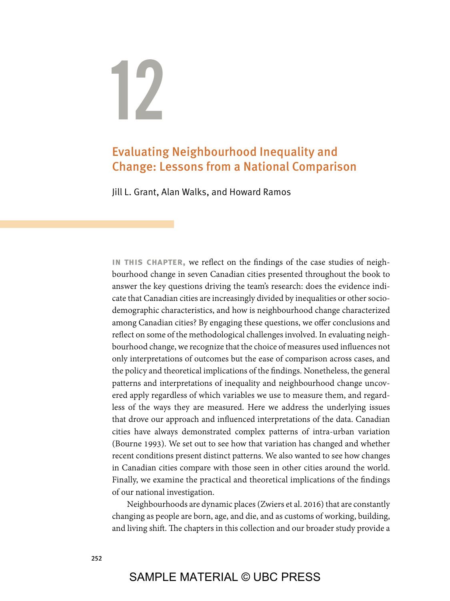12

# Evaluating Neighbourhood Inequality and Change: Lessons from a National Comparison

Jill L. Grant, Alan Walks, and Howard Ramos

**In this chapter,** we reflect on the findings of the case studies of neighbourhood change in seven Canadian cities presented throughout the book to answer the key questions driving the team's research: does the evidence indicate that Canadian cities are increasingly divided by inequalities or other sociodemographic characteristics, and how is neighbourhood change characterized among Canadian cities? By engaging these questions, we offer conclusions and reflect on some of the methodological challenges involved. In evaluating neighbourhood change, we recognize that the choice of measures used influences not only interpretations of outcomes but the ease of comparison across cases, and the policy and theoretical implications of the findings. Nonetheless, the general patterns and interpretations of inequality and neighbourhood change uncovered apply regardless of which variables we use to measure them, and regardless of the ways they are measured. Here we address the underlying issues that drove our approach and influenced interpretations of the data. Canadian cities have always demonstrated complex patterns of intra-urban variation (Bourne 1993). We set out to see how that variation has changed and whether recent conditions present distinct patterns. We also wanted to see how changes in Canadian cities compare with those seen in other cities around the world. Finally, we examine the practical and theoretical implications of the findings of our national investigation.

Neighbourhoods are dynamic places (Zwiers et al. 2016) that are constantly changing as people are born, age, and die, and as customs of working, building, and living shift. The chapters in this collection and our broader study provide a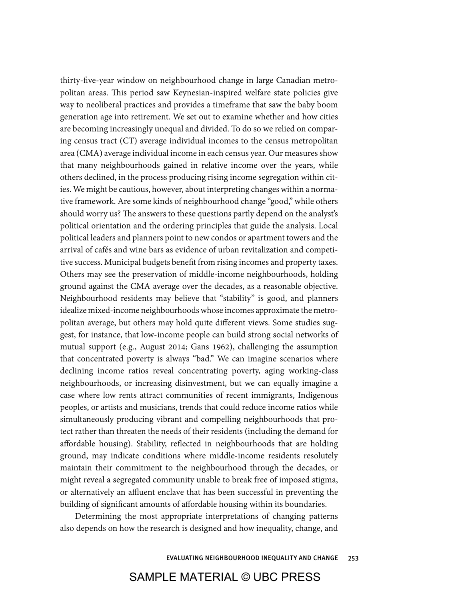thirty-five-year window on neighbourhood change in large Canadian metropolitan areas. This period saw Keynesian-inspired welfare state policies give way to neoliberal practices and provides a timeframe that saw the baby boom generation age into retirement. We set out to examine whether and how cities are becoming increasingly unequal and divided. To do so we relied on comparing census tract (CT) average individual incomes to the census metropolitan area (CMA) average individual income in each census year. Our measures show that many neighbourhoods gained in relative income over the years, while others declined, in the process producing rising income segregation within cities. We might be cautious, however, about interpreting changes within a normative framework. Are some kinds of neighbourhood change "good," while others should worry us? The answers to these questions partly depend on the analyst's political orientation and the ordering principles that guide the analysis. Local political leaders and planners point to new condos or apartment towers and the arrival of cafés and wine bars as evidence of urban revitalization and competitive success. Municipal budgets benefit from rising incomes and property taxes. Others may see the preservation of middle-income neighbourhoods, holding ground against the CMA average over the decades, as a reasonable objective. Neighbourhood residents may believe that "stability" is good, and planners idealize mixed-income neighbourhoods whose incomes approximate the metropolitan average, but others may hold quite different views. Some studies suggest, for instance, that low-income people can build strong social networks of mutual support (e.g., August 2014; Gans 1962), challenging the assumption that concentrated poverty is always "bad." We can imagine scenarios where declining income ratios reveal concentrating poverty, aging working-class neighbourhoods, or increasing disinvestment, but we can equally imagine a case where low rents attract communities of recent immigrants, Indigenous peoples, or artists and musicians, trends that could reduce income ratios while simultaneously producing vibrant and compelling neighbourhoods that protect rather than threaten the needs of their residents (including the demand for affordable housing). Stability, reflected in neighbourhoods that are holding ground, may indicate conditions where middle-income residents resolutely maintain their commitment to the neighbourhood through the decades, or might reveal a segregated community unable to break free of imposed stigma, or alternatively an affluent enclave that has been successful in preventing the building of significant amounts of affordable housing within its boundaries.

Determining the most appropriate interpretations of changing patterns also depends on how the research is designed and how inequality, change, and

EVALUATING NEIGHBOURHOOD INEQUALITY AND CHANGE 253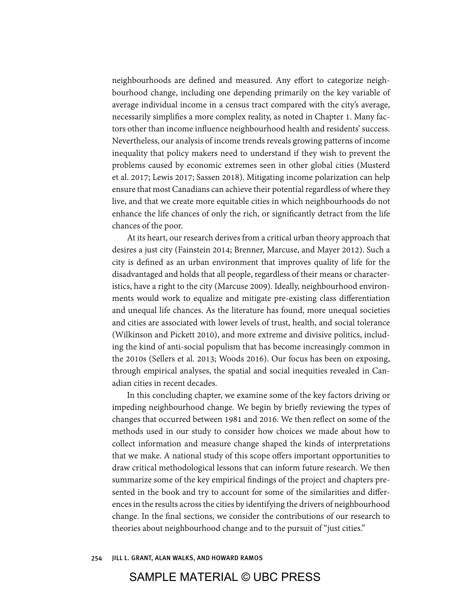neighbourhoods are defined and measured. Any effort to categorize neighbourhood change, including one depending primarily on the key variable of average individual income in a census tract compared with the city's average, necessarily simplifies a more complex reality, as noted in Chapter 1. Many factors other than income influence neighbourhood health and residents' success. Nevertheless, our analysis of income trends reveals growing patterns of income inequality that policy makers need to understand if they wish to prevent the problems caused by economic extremes seen in other global cities (Musterd et al. 2017; Lewis 2017; Sassen 2018). Mitigating income polarization can help ensure that most Canadians can achieve their potential regardless of where they live, and that we create more equitable cities in which neighbourhoods do not enhance the life chances of only the rich, or significantly detract from the life chances of the poor.

At its heart, our research derives from a critical urban theory approach that desires a just city (Fainstein 2014; Brenner, Marcuse, and Mayer 2012). Such a city is defined as an urban environment that improves quality of life for the disadvantaged and holds that all people, regardless of their means or characteristics, have a right to the city (Marcuse 2009). Ideally, neighbourhood environments would work to equalize and mitigate pre-existing class differentiation and unequal life chances. As the literature has found, more unequal societies and cities are associated with lower levels of trust, health, and social tolerance (Wilkinson and Pickett 2010), and more extreme and divisive politics, including the kind of anti-social populism that has become increasingly common in the 2010s (Sellers et al. 2013; Woods 2016). Our focus has been on exposing, through empirical analyses, the spatial and social inequities revealed in Canadian cities in recent decades.

In this concluding chapter, we examine some of the key factors driving or impeding neighbourhood change. We begin by briefly reviewing the types of changes that occurred between 1981 and 2016. We then reflect on some of the methods used in our study to consider how choices we made about how to collect information and measure change shaped the kinds of interpretations that we make. A national study of this scope offers important opportunities to draw critical methodological lessons that can inform future research. We then summarize some of the key empirical findings of the project and chapters presented in the book and try to account for some of the similarities and differences in the results across the cities by identifying the drivers of neighbourhood change. In the final sections, we consider the contributions of our research to theories about neighbourhood change and to the pursuit of "just cities."

254 JILL L. GRANT, ALAN WALKS, AND HOWARD RAMOS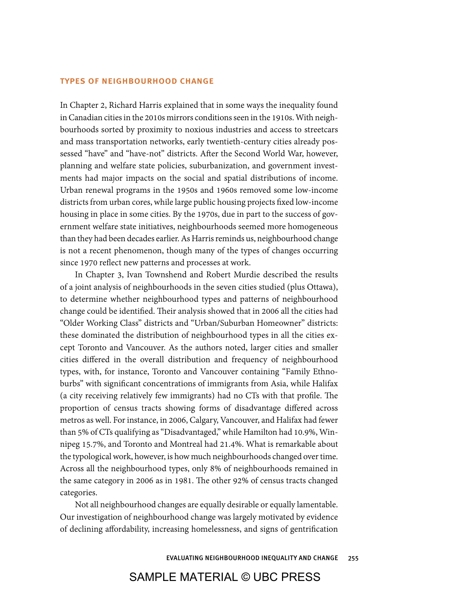#### **TYPES OF NEIGHBOURHOOD CHANGE**

In Chapter 2, Richard Harris explained that in some ways the inequality found in Canadian cities in the 2010s mirrors conditions seen in the 1910s. With neighbourhoods sorted by proximity to noxious industries and access to streetcars and mass transportation networks, early twentieth-century cities already possessed "have" and "have-not" districts. After the Second World War, however, planning and welfare state policies, suburbanization, and government investments had major impacts on the social and spatial distributions of income. Urban renewal programs in the 1950s and 1960s removed some low-income districts from urban cores, while large public housing projects fixed low-income housing in place in some cities. By the 1970s, due in part to the success of government welfare state initiatives, neighbourhoods seemed more homogeneous than they had been decades earlier. As Harris reminds us, neighbourhood change is not a recent phenomenon, though many of the types of changes occurring since 1970 reflect new patterns and processes at work.

In Chapter 3, Ivan Townshend and Robert Murdie described the results of a joint analysis of neighbourhoods in the seven cities studied (plus Ottawa), to determine whether neighbourhood types and patterns of neighbourhood change could be identified. Their analysis showed that in 2006 all the cities had "Older Working Class" districts and "Urban/Suburban Homeowner" districts: these dominated the distribution of neighbourhood types in all the cities except Toronto and Vancouver. As the authors noted, larger cities and smaller cities differed in the overall distribution and frequency of neighbourhood types, with, for instance, Toronto and Vancouver containing "Family Ethnoburbs" with significant concentrations of immigrants from Asia, while Halifax (a city receiving relatively few immigrants) had no CTs with that profile. The proportion of census tracts showing forms of disadvantage differed across metros as well. For instance, in 2006, Calgary, Vancouver, and Halifax had fewer than 5% of CTs qualifying as "Disadvantaged," while Hamilton had 10.9%, Winnipeg 15.7%, and Toronto and Montreal had 21.4%. What is remarkable about the typological work, however, is how much neighbourhoods changed over time. Across all the neighbourhood types, only 8% of neighbourhoods remained in the same category in 2006 as in 1981. The other 92% of census tracts changed categories.

Not all neighbourhood changes are equally desirable or equally lamentable. Our investigation of neighbourhood change was largely motivated by evidence of declining affordability, increasing homelessness, and signs of gentrification

EVALUATING NEIGHBOURHOOD INEQUALITY AND CHANGE 255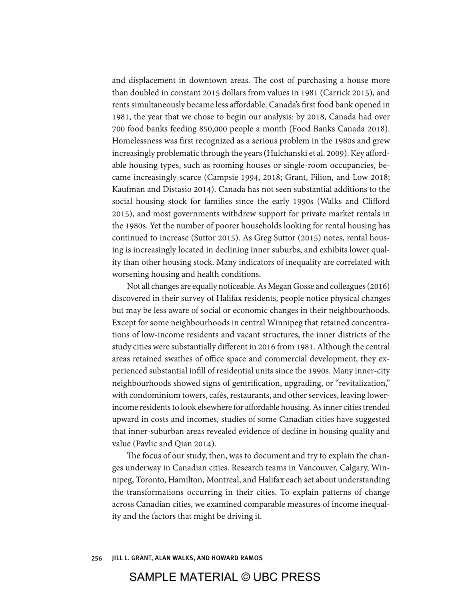and displacement in downtown areas. The cost of purchasing a house more than doubled in constant 2015 dollars from values in 1981 (Carrick 2015), and rents simultaneously became less affordable. Canada's first food bank opened in 1981, the year that we chose to begin our analysis: by 2018, Canada had over 700 food banks feeding 850,000 people a month (Food Banks Canada 2018). Homelessness was first recognized as a serious problem in the 1980s and grew increasingly problematic through the years (Hulchanski et al. 2009). Key affordable housing types, such as rooming houses or single-room occupancies, became increasingly scarce (Campsie 1994, 2018; Grant, Filion, and Low 2018; Kaufman and Distasio 2014). Canada has not seen substantial additions to the social housing stock for families since the early 1990s (Walks and Clifford 2015), and most governments withdrew support for private market rentals in the 1980s. Yet the number of poorer households looking for rental housing has continued to increase (Suttor 2015). As Greg Suttor (2015) notes, rental housing is increasingly located in declining inner suburbs, and exhibits lower quality than other housing stock. Many indicators of inequality are correlated with worsening housing and health conditions.

Not all changes are equally noticeable. As Megan Gosse and colleagues (2016) discovered in their survey of Halifax residents, people notice physical changes but may be less aware of social or economic changes in their neighbourhoods. Except for some neighbourhoods in central Winnipeg that retained concentrations of low-income residents and vacant structures, the inner districts of the study cities were substantially different in 2016 from 1981. Although the central areas retained swathes of office space and commercial development, they experienced substantial infill of residential units since the 1990s. Many inner-city neighbourhoods showed signs of gentrification, upgrading, or "revitalization," with condominium towers, cafés, restaurants, and other services, leaving lowerincome residents to look elsewhere for affordable housing. As inner cities trended upward in costs and incomes, studies of some Canadian cities have suggested that inner-suburban areas revealed evidence of decline in housing quality and value (Pavlic and Qian 2014).

The focus of our study, then, was to document and try to explain the changes underway in Canadian cities. Research teams in Vancouver, Calgary, Winnipeg, Toronto, Hamilton, Montreal, and Halifax each set about understanding the transformations occurring in their cities. To explain patterns of change across Canadian cities, we examined comparable measures of income inequality and the factors that might be driving it.

256 JILL L. GRANT, ALAN WALKS, AND HOWARD RAMOS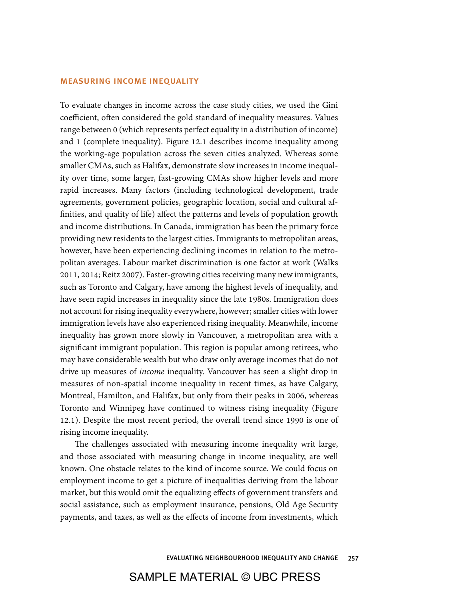#### Measuring Income Inequality

To evaluate changes in income across the case study cities, we used the Gini coefficient, often considered the gold standard of inequality measures. Values range between 0 (which represents perfect equality in a distribution of income) and 1 (complete inequality). Figure 12.1 describes income inequality among the working-age population across the seven cities analyzed. Whereas some smaller CMAs, such as Halifax, demonstrate slow increases in income inequality over time, some larger, fast-growing CMAs show higher levels and more rapid increases. Many factors (including technological development, trade agreements, government policies, geographic location, social and cultural affinities, and quality of life) affect the patterns and levels of population growth and income distributions. In Canada, immigration has been the primary force providing new residents to the largest cities. Immigrants to metropolitan areas, however, have been experiencing declining incomes in relation to the metropolitan averages. Labour market discrimination is one factor at work (Walks 2011, 2014; Reitz 2007). Faster-growing cities receiving many new immigrants, such as Toronto and Calgary, have among the highest levels of inequality, and have seen rapid increases in inequality since the late 1980s. Immigration does not account for rising inequality everywhere, however; smaller cities with lower immigration levels have also experienced rising inequality. Meanwhile, income inequality has grown more slowly in Vancouver, a metropolitan area with a significant immigrant population. This region is popular among retirees, who may have considerable wealth but who draw only average incomes that do not drive up measures of *income* inequality. Vancouver has seen a slight drop in measures of non-spatial income inequality in recent times, as have Calgary, Montreal, Hamilton, and Halifax, but only from their peaks in 2006, whereas Toronto and Winnipeg have continued to witness rising inequality (Figure 12.1). Despite the most recent period, the overall trend since 1990 is one of rising income inequality.

The challenges associated with measuring income inequality writ large, and those associated with measuring change in income inequality, are well known. One obstacle relates to the kind of income source. We could focus on employment income to get a picture of inequalities deriving from the labour market, but this would omit the equalizing effects of government transfers and social assistance, such as employment insurance, pensions, Old Age Security payments, and taxes, as well as the effects of income from investments, which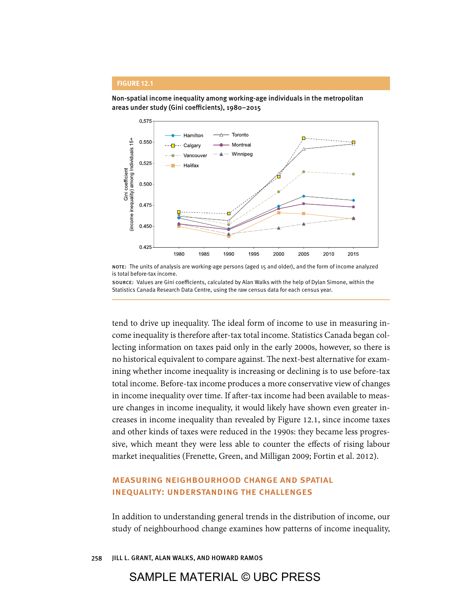

Non-spatial income inequality among working-age individuals in the metropolitan areas under study (Gini coefficients), 1980–2015

Note: The units of analysis are working-age persons (aged 15 and older), and the form of income analyzed is total before-tax income.

Source: Values are Gini coefficients, calculated by Alan Walks with the help of Dylan Simone, within the Statistics Canada Research Data Centre, using the raw census data for each census year.

tend to drive up inequality. The ideal form of income to use in measuring income inequality is therefore after-tax total income. Statistics Canada began collecting information on taxes paid only in the early 2000s, however, so there is no historical equivalent to compare against. The next-best alternative for examining whether income inequality is increasing or declining is to use before-tax total income. Before-tax income produces a more conservative view of changes in income inequality over time. If after-tax income had been available to measure changes in income inequality, it would likely have shown even greater increases in income inequality than revealed by Figure 12.1, since income taxes and other kinds of taxes were reduced in the 1990s: they became less progressive, which meant they were less able to counter the effects of rising labour market inequalities (Frenette, Green, and Milligan 2009; Fortin et al. 2012).

### Measuring Neighbourhood Change and Spatial Inequality: Understanding the Challenges

In addition to understanding general trends in the distribution of income, our study of neighbourhood change examines how patterns of income inequality,

258 JILL L. GRANT, ALAN WALKS, AND HOWARD RAMOS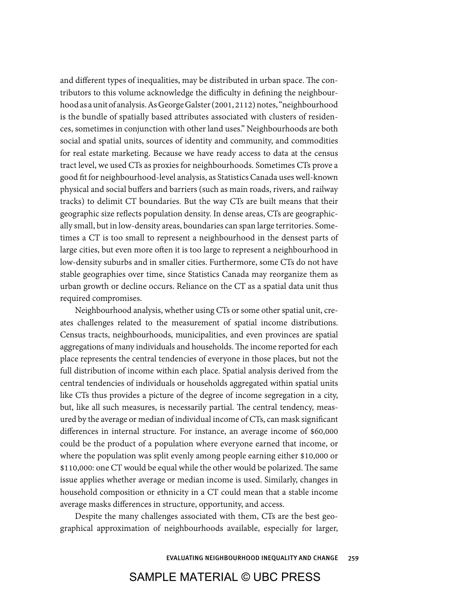and different types of inequalities, may be distributed in urban space. The contributors to this volume acknowledge the difficulty in defining the neighbourhood as a unit of analysis. As George Galster (2001, 2112) notes, "neighbourhood is the bundle of spatially based attributes associated with clusters of residences, sometimes in conjunction with other land uses." Neighbourhoods are both social and spatial units, sources of identity and community, and commodities for real estate marketing. Because we have ready access to data at the census tract level, we used CTs as proxies for neighbourhoods. Sometimes CTs prove a good fit for neighbourhood-level analysis, as Statistics Canada uses well-known physical and social buffers and barriers (such as main roads, rivers, and railway tracks) to delimit CT boundaries. But the way CTs are built means that their geographic size reflects population density. In dense areas, CTs are geographically small, but in low-density areas, boundaries can span large territories. Sometimes a CT is too small to represent a neighbourhood in the densest parts of large cities, but even more often it is too large to represent a neighbourhood in low-density suburbs and in smaller cities. Furthermore, some CTs do not have stable geographies over time, since Statistics Canada may reorganize them as urban growth or decline occurs. Reliance on the CT as a spatial data unit thus required compromises.

Neighbourhood analysis, whether using CTs or some other spatial unit, creates challenges related to the measurement of spatial income distributions. Census tracts, neighbourhoods, municipalities, and even provinces are spatial aggregations of many individuals and households. The income reported for each place represents the central tendencies of everyone in those places, but not the full distribution of income within each place. Spatial analysis derived from the central tendencies of individuals or households aggregated within spatial units like CTs thus provides a picture of the degree of income segregation in a city, but, like all such measures, is necessarily partial. The central tendency, measured by the average or median of individual income of CTs, can mask significant differences in internal structure. For instance, an average income of \$60,000 could be the product of a population where everyone earned that income, or where the population was split evenly among people earning either \$10,000 or \$110,000: one CT would be equal while the other would be polarized. The same issue applies whether average or median income is used. Similarly, changes in household composition or ethnicity in a CT could mean that a stable income average masks differences in structure, opportunity, and access.

Despite the many challenges associated with them, CTs are the best geographical approximation of neighbourhoods available, especially for larger,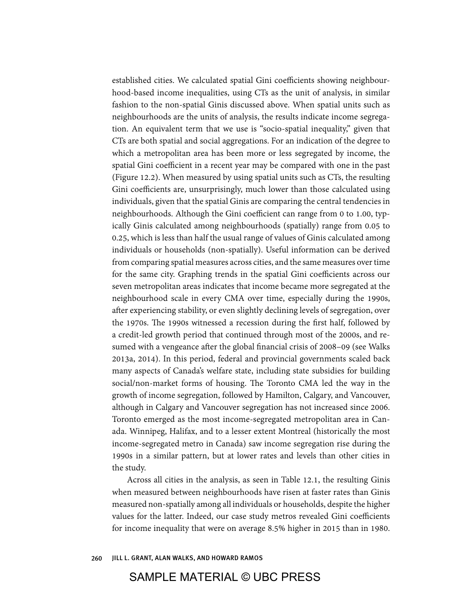established cities. We calculated spatial Gini coefficients showing neighbourhood-based income inequalities, using CTs as the unit of analysis, in similar fashion to the non-spatial Ginis discussed above. When spatial units such as neighbourhoods are the units of analysis, the results indicate income segregation. An equivalent term that we use is "socio-spatial inequality," given that CTs are both spatial and social aggregations. For an indication of the degree to which a metropolitan area has been more or less segregated by income, the spatial Gini coefficient in a recent year may be compared with one in the past (Figure 12.2). When measured by using spatial units such as CTs, the resulting Gini coefficients are, unsurprisingly, much lower than those calculated using individuals, given that the spatial Ginis are comparing the central tendencies in neighbourhoods. Although the Gini coefficient can range from 0 to 1.00, typically Ginis calculated among neighbourhoods (spatially) range from 0.05 to 0.25, which is less than half the usual range of values of Ginis calculated among individuals or households (non-spatially). Useful information can be derived from comparing spatial measures across cities, and the same measures over time for the same city. Graphing trends in the spatial Gini coefficients across our seven metropolitan areas indicates that income became more segregated at the neighbourhood scale in every CMA over time, especially during the 1990s, after experiencing stability, or even slightly declining levels of segregation, over the 1970s. The 1990s witnessed a recession during the first half, followed by a credit-led growth period that continued through most of the 2000s, and resumed with a vengeance after the global financial crisis of 2008–09 (see Walks 2013a, 2014). In this period, federal and provincial governments scaled back many aspects of Canada's welfare state, including state subsidies for building social/non-market forms of housing. The Toronto CMA led the way in the growth of income segregation, followed by Hamilton, Calgary, and Vancouver, although in Calgary and Vancouver segregation has not increased since 2006. Toronto emerged as the most income-segregated metropolitan area in Canada. Winnipeg, Halifax, and to a lesser extent Montreal (historically the most income-segregated metro in Canada) saw income segregation rise during the 1990s in a similar pattern, but at lower rates and levels than other cities in the study.

Across all cities in the analysis, as seen in Table 12.1, the resulting Ginis when measured between neighbourhoods have risen at faster rates than Ginis measured non-spatially among all individuals or households, despite the higher values for the latter. Indeed, our case study metros revealed Gini coefficients for income inequality that were on average 8.5% higher in 2015 than in 1980.

260 JILL L. GRANT, ALAN WALKS, AND HOWARD RAMOS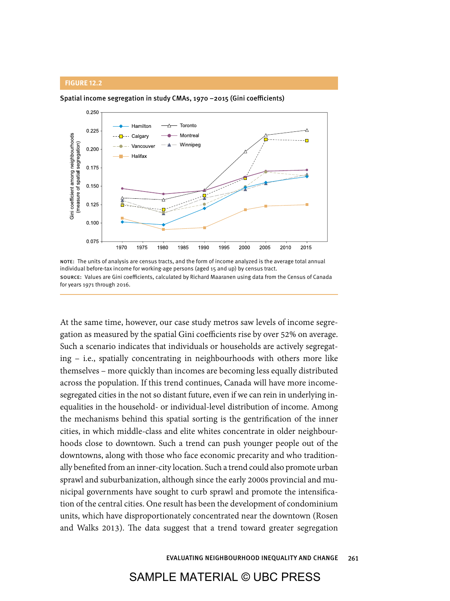

Spatial income segregation in study CMAs, 1970 –2015 (Gini coefficients)

Note: The units of analysis are census tracts, and the form of income analyzed is the average total annual individual before-tax income for working-age persons (aged 15 and up) by census tract. Source: Values are Gini coefficients, calculated by Richard Maaranen using data from the Census of Canada for years 1971 through 2016.

At the same time, however, our case study metros saw levels of income segregation as measured by the spatial Gini coefficients rise by over 52% on average. Such a scenario indicates that individuals or households are actively segregating – i.e., spatially concentrating in neighbourhoods with others more like themselves – more quickly than incomes are becoming less equally distributed across the population. If this trend continues, Canada will have more incomesegregated cities in the not so distant future, even if we can rein in underlying inequalities in the household- or individual-level distribution of income. Among the mechanisms behind this spatial sorting is the gentrification of the inner cities, in which middle-class and elite whites concentrate in older neighbourhoods close to downtown. Such a trend can push younger people out of the downtowns, along with those who face economic precarity and who traditionally benefited from an inner-city location. Such a trend could also promote urban sprawl and suburbanization, although since the early 2000s provincial and municipal governments have sought to curb sprawl and promote the intensification of the central cities. One result has been the development of condominium units, which have disproportionately concentrated near the downtown (Rosen and Walks 2013). The data suggest that a trend toward greater segregation

EVALUATING NEIGHBOURHOOD INEQUALITY AND CHANGE 261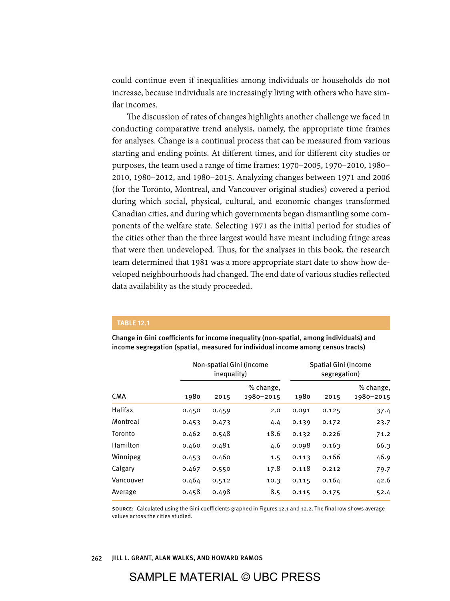could continue even if inequalities among individuals or households do not increase, because individuals are increasingly living with others who have similar incomes.

The discussion of rates of changes highlights another challenge we faced in conducting comparative trend analysis, namely, the appropriate time frames for analyses. Change is a continual process that can be measured from various starting and ending points. At different times, and for different city studies or purposes, the team used a range of time frames: 1970–2005, 1970–2010, 1980– 2010, 1980–2012, and 1980–2015. Analyzing changes between 1971 and 2006 (for the Toronto, Montreal, and Vancouver original studies) covered a period during which social, physical, cultural, and economic changes transformed Canadian cities, and during which governments began dismantling some components of the welfare state. Selecting 1971 as the initial period for studies of the cities other than the three largest would have meant including fringe areas that were then undeveloped. Thus, for the analyses in this book, the research team determined that 1981 was a more appropriate start date to show how developed neighbourhoods had changed. The end date of various studies reflected data availability as the study proceeded.

| CMA       | Non-spatial Gini (income<br>inequality) |       |                        | Spatial Gini (income<br>segregation) |       |                        |
|-----------|-----------------------------------------|-------|------------------------|--------------------------------------|-------|------------------------|
|           | 1980                                    | 2015  | % change,<br>1980-2015 | 1980                                 | 2015  | % change,<br>1980-2015 |
| Halifax   | 0.450                                   | 0.459 | 2.0                    | 0.091                                | 0.125 | 37.4                   |
| Montreal  | 0.453                                   | 0.473 | 4.4                    | 0.139                                | 0.172 | 23.7                   |
| Toronto   | 0.462                                   | 0.548 | 18.6                   | 0.132                                | 0.226 | 71.2                   |
| Hamilton  | 0.460                                   | 0.481 | 4.6                    | 0.098                                | 0.163 | 66.3                   |
| Winnipeg  | 0.453                                   | 0.460 | 1.5                    | 0.113                                | 0.166 | 46.9                   |
| Calgary   | 0.467                                   | 0.550 | 17.8                   | 0.118                                | 0.212 | 79.7                   |
| Vancouver | 0.464                                   | 0.512 | 10.3                   | 0.115                                | 0.164 | 42.6                   |
| Average   | 0.458                                   | 0.498 | 8.5                    | 0.115                                | 0.175 | 52.4                   |

**TABLE 12.1**

Change in Gini coefficients for income inequality (non-spatial, among individuals) and income segregation (spatial, measured for individual income among census tracts)

Source: Calculated using the Gini coefficients graphed in Figures 12.1 and 12.2. The final row shows average values across the cities studied.

262 JILL L. GRANT, ALAN WALKS, AND HOWARD RAMOS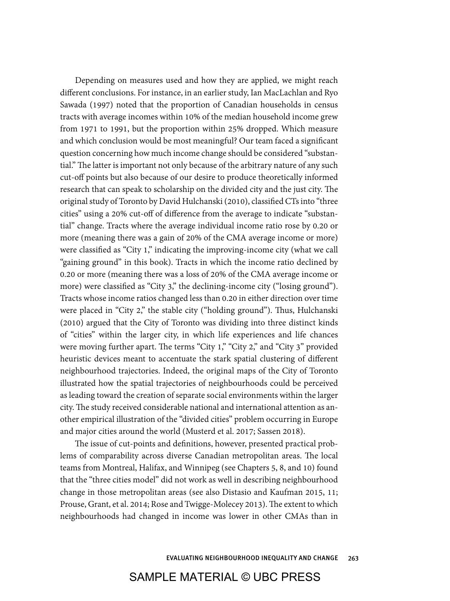Depending on measures used and how they are applied, we might reach different conclusions. For instance, in an earlier study, Ian MacLachlan and Ryo Sawada (1997) noted that the proportion of Canadian households in census tracts with average incomes within 10% of the median household income grew from 1971 to 1991, but the proportion within 25% dropped. Which measure and which conclusion would be most meaningful? Our team faced a significant question concerning how much income change should be considered "substantial." The latter is important not only because of the arbitrary nature of any such cut-off points but also because of our desire to produce theoretically informed research that can speak to scholarship on the divided city and the just city. The original study of Toronto by David Hulchanski (2010), classified CTs into "three cities" using a 20% cut-off of difference from the average to indicate "substantial" change. Tracts where the average individual income ratio rose by 0.20 or more (meaning there was a gain of 20% of the CMA average income or more) were classified as "City 1," indicating the improving-income city (what we call "gaining ground" in this book). Tracts in which the income ratio declined by 0.20 or more (meaning there was a loss of 20% of the CMA average income or more) were classified as "City 3," the declining-income city ("losing ground"). Tracts whose income ratios changed less than 0.20 in either direction over time were placed in "City 2," the stable city ("holding ground"). Thus, Hulchanski (2010) argued that the City of Toronto was dividing into three distinct kinds of "cities" within the larger city, in which life experiences and life chances were moving further apart. The terms "City 1," "City 2," and "City 3" provided heuristic devices meant to accentuate the stark spatial clustering of different neighbourhood trajectories. Indeed, the original maps of the City of Toronto illustrated how the spatial trajectories of neighbourhoods could be perceived as leading toward the creation of separate social environments within the larger city. The study received considerable national and international attention as another empirical illustration of the "divided cities" problem occurring in Europe and major cities around the world (Musterd et al. 2017; Sassen 2018).

The issue of cut-points and definitions, however, presented practical problems of comparability across diverse Canadian metropolitan areas. The local teams from Montreal, Halifax, and Winnipeg (see Chapters 5, 8, and 10) found that the "three cities model" did not work as well in describing neighbourhood change in those metropolitan areas (see also Distasio and Kaufman 2015, 11; Prouse, Grant, et al. 2014; Rose and Twigge-Molecey 2013). The extent to which neighbourhoods had changed in income was lower in other CMAs than in

EVALUATING NEIGHBOURHOOD INEQUALITY AND CHANGE 263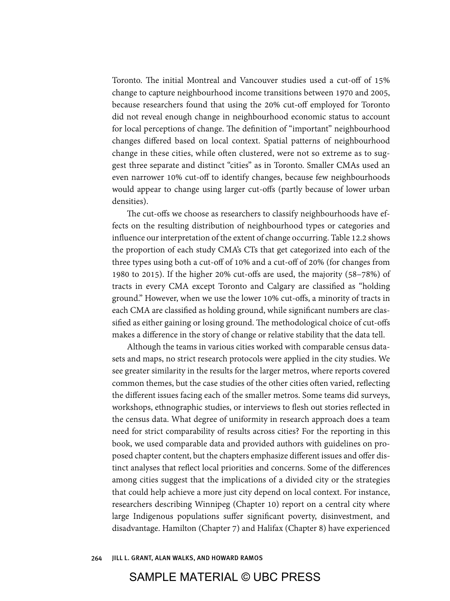Toronto. The initial Montreal and Vancouver studies used a cut-off of 15% change to capture neighbourhood income transitions between 1970 and 2005, because researchers found that using the 20% cut-off employed for Toronto did not reveal enough change in neighbourhood economic status to account for local perceptions of change. The definition of "important" neighbourhood changes differed based on local context. Spatial patterns of neighbourhood change in these cities, while often clustered, were not so extreme as to suggest three separate and distinct "cities" as in Toronto. Smaller CMAs used an even narrower 10% cut-off to identify changes, because few neighbourhoods would appear to change using larger cut-offs (partly because of lower urban densities).

The cut-offs we choose as researchers to classify neighbourhoods have effects on the resulting distribution of neighbourhood types or categories and influence our interpretation of the extent of change occurring. Table 12.2 shows the proportion of each study CMA's CTs that get categorized into each of the three types using both a cut-off of 10% and a cut-off of 20% (for changes from 1980 to 2015). If the higher 20% cut-offs are used, the majority (58–78%) of tracts in every CMA except Toronto and Calgary are classified as "holding ground." However, when we use the lower 10% cut-offs, a minority of tracts in each CMA are classified as holding ground, while significant numbers are classified as either gaining or losing ground. The methodological choice of cut-offs makes a difference in the story of change or relative stability that the data tell.

Although the teams in various cities worked with comparable census datasets and maps, no strict research protocols were applied in the city studies. We see greater similarity in the results for the larger metros, where reports covered common themes, but the case studies of the other cities often varied, reflecting the different issues facing each of the smaller metros. Some teams did surveys, workshops, ethnographic studies, or interviews to flesh out stories reflected in the census data. What degree of uniformity in research approach does a team need for strict comparability of results across cities? For the reporting in this book, we used comparable data and provided authors with guidelines on proposed chapter content, but the chapters emphasize different issues and offer distinct analyses that reflect local priorities and concerns. Some of the differences among cities suggest that the implications of a divided city or the strategies that could help achieve a more just city depend on local context. For instance, researchers describing Winnipeg (Chapter 10) report on a central city where large Indigenous populations suffer significant poverty, disinvestment, and disadvantage. Hamilton (Chapter 7) and Halifax (Chapter 8) have experienced

264 JILL L. GRANT, ALAN WALKS, AND HOWARD RAMOS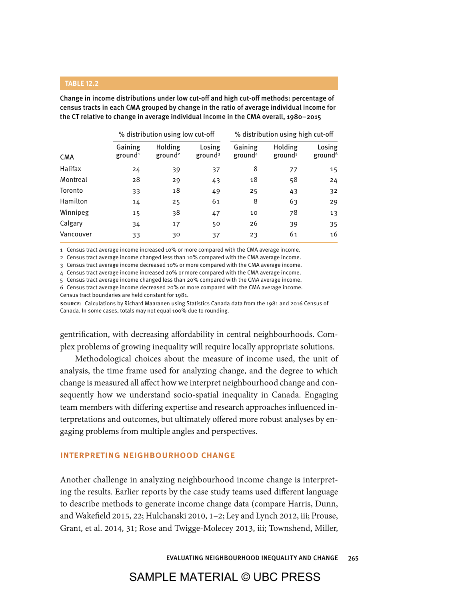#### **TABLE 12.2**

Change in income distributions under low cut-off and high cut-off methods: percentage of census tracts in each CMA grouped by change in the ratio of average individual income for the CT relative to change in average individual income in the CMA overall, 1980–2015

| <b>CMA</b> |                                | % distribution using low cut-off |                               | % distribution using high cut-off |                                |                               |
|------------|--------------------------------|----------------------------------|-------------------------------|-----------------------------------|--------------------------------|-------------------------------|
|            | Gaining<br>ground <sup>1</sup> | Holding<br>ground <sup>2</sup>   | Losing<br>ground <sup>3</sup> | Gaining<br>ground <sup>4</sup>    | Holding<br>ground <sup>5</sup> | Losing<br>ground <sup>6</sup> |
| Halifax    | 24                             | 39                               | 37                            | 8                                 | 77                             | 15                            |
| Montreal   | 28                             | 29                               | 43                            | 18                                | 58                             | 24                            |
| Toronto    | 33                             | 18                               | 49                            | 25                                | 43                             | 32                            |
| Hamilton   | 14                             | 25                               | 61                            | 8                                 | 63                             | 29                            |
| Winnipeg   | 15                             | 38                               | 47                            | 10                                | 78                             | 13                            |
| Calgary    | 34                             | 17                               | 50                            | 26                                | 39                             | 35                            |
| Vancouver  | 33                             | 30                               | 37                            | 23                                | 61                             | 16                            |

1 Census tract average income increased 10% or more compared with the CMA average income.

2 Census tract average income changed less than 10% compared with the CMA average income.

3 Census tract average income decreased 10% or more compared with the CMA average income.

4 Census tract average income increased 20% or more compared with the CMA average income.

5 Census tract average income changed less than 20% compared with the CMA average income. 6 Census tract average income decreased 20% or more compared with the CMA average income.

Census tract boundaries are held constant for 1981.

Source: Calculations by Richard Maaranen using Statistics Canada data from the 1981 and 2016 Census of Canada. In some cases, totals may not equal 100% due to rounding.

gentrification, with decreasing affordability in central neighbourhoods. Complex problems of growing inequality will require locally appropriate solutions.

Methodological choices about the measure of income used, the unit of analysis, the time frame used for analyzing change, and the degree to which change is measured all affect how we interpret neighbourhood change and consequently how we understand socio-spatial inequality in Canada. Engaging team members with differing expertise and research approaches influenced interpretations and outcomes, but ultimately offered more robust analyses by engaging problems from multiple angles and perspectives.

### Interpreting Neighbourhood Change

Another challenge in analyzing neighbourhood income change is interpreting the results. Earlier reports by the case study teams used different language to describe methods to generate income change data (compare Harris, Dunn, and Wakefield 2015, 22; Hulchanski 2010, 1–2; Ley and Lynch 2012, iii; Prouse, Grant, et al. 2014, 31; Rose and Twigge-Molecey 2013, iii; Townshend, Miller,

EVALUATING NEIGHBOURHOOD INEQUALITY AND CHANGE 265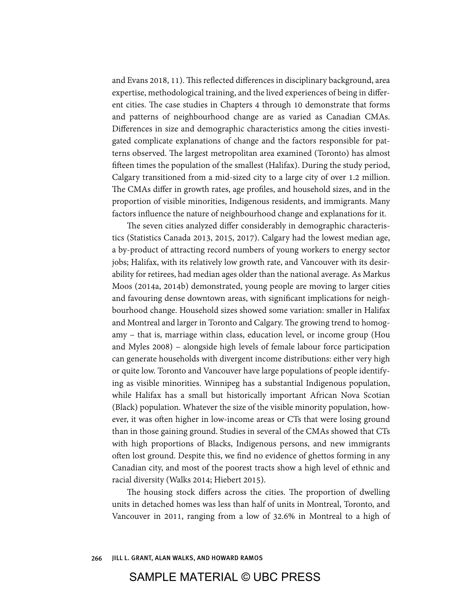and Evans 2018, 11). This reflected differences in disciplinary background, area expertise, methodological training, and the lived experiences of being in different cities. The case studies in Chapters 4 through 10 demonstrate that forms and patterns of neighbourhood change are as varied as Canadian CMAs. Differences in size and demographic characteristics among the cities investigated complicate explanations of change and the factors responsible for patterns observed. The largest metropolitan area examined (Toronto) has almost fifteen times the population of the smallest (Halifax). During the study period, Calgary transitioned from a mid-sized city to a large city of over 1.2 million. The CMAs differ in growth rates, age profiles, and household sizes, and in the proportion of visible minorities, Indigenous residents, and immigrants. Many factors influence the nature of neighbourhood change and explanations for it.

The seven cities analyzed differ considerably in demographic characteristics (Statistics Canada 2013, 2015, 2017). Calgary had the lowest median age, a by-product of attracting record numbers of young workers to energy sector jobs; Halifax, with its relatively low growth rate, and Vancouver with its desirability for retirees, had median ages older than the national average. As Markus Moos (2014a, 2014b) demonstrated, young people are moving to larger cities and favouring dense downtown areas, with significant implications for neighbourhood change. Household sizes showed some variation: smaller in Halifax and Montreal and larger in Toronto and Calgary. The growing trend to homogamy – that is, marriage within class, education level, or income group (Hou and Myles 2008) – alongside high levels of female labour force participation can generate households with divergent income distributions: either very high or quite low. Toronto and Vancouver have large populations of people identifying as visible minorities. Winnipeg has a substantial Indigenous population, while Halifax has a small but historically important African Nova Scotian (Black) population. Whatever the size of the visible minority population, however, it was often higher in low-income areas or CTs that were losing ground than in those gaining ground. Studies in several of the CMAs showed that CTs with high proportions of Blacks, Indigenous persons, and new immigrants often lost ground. Despite this, we find no evidence of ghettos forming in any Canadian city, and most of the poorest tracts show a high level of ethnic and racial diversity (Walks 2014; Hiebert 2015).

The housing stock differs across the cities. The proportion of dwelling units in detached homes was less than half of units in Montreal, Toronto, and Vancouver in 2011, ranging from a low of 32.6% in Montreal to a high of

266 JILL L. GRANT, ALAN WALKS, AND HOWARD RAMOS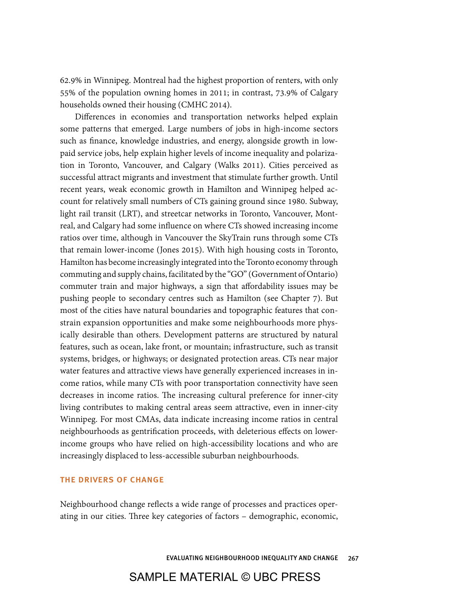62.9% in Winnipeg. Montreal had the highest proportion of renters, with only 55% of the population owning homes in 2011; in contrast, 73.9% of Calgary households owned their housing (CMHC 2014).

Differences in economies and transportation networks helped explain some patterns that emerged. Large numbers of jobs in high-income sectors such as finance, knowledge industries, and energy, alongside growth in lowpaid service jobs, help explain higher levels of income inequality and polarization in Toronto, Vancouver, and Calgary (Walks 2011). Cities perceived as successful attract migrants and investment that stimulate further growth. Until recent years, weak economic growth in Hamilton and Winnipeg helped account for relatively small numbers of CTs gaining ground since 1980. Subway, light rail transit (LRT), and streetcar networks in Toronto, Vancouver, Montreal, and Calgary had some influence on where CTs showed increasing income ratios over time, although in Vancouver the SkyTrain runs through some CTs that remain lower-income (Jones 2015). With high housing costs in Toronto, Hamilton has become increasingly integrated into the Toronto economy through commuting and supply chains, facilitated by the "GO" (Government of Ontario) commuter train and major highways, a sign that affordability issues may be pushing people to secondary centres such as Hamilton (see Chapter 7). But most of the cities have natural boundaries and topographic features that constrain expansion opportunities and make some neighbourhoods more physically desirable than others. Development patterns are structured by natural features, such as ocean, lake front, or mountain; infrastructure, such as transit systems, bridges, or highways; or designated protection areas. CTs near major water features and attractive views have generally experienced increases in income ratios, while many CTs with poor transportation connectivity have seen decreases in income ratios. The increasing cultural preference for inner-city living contributes to making central areas seem attractive, even in inner-city Winnipeg. For most CMAs, data indicate increasing income ratios in central neighbourhoods as gentrification proceeds, with deleterious effects on lowerincome groups who have relied on high-accessibility locations and who are increasingly displaced to less-accessible suburban neighbourhoods.

### The Drivers of Change

Neighbourhood change reflects a wide range of processes and practices operating in our cities. Three key categories of factors – demographic, economic,

EVALUATING NEIGHBOURHOOD INEQUALITY AND CHANGE 267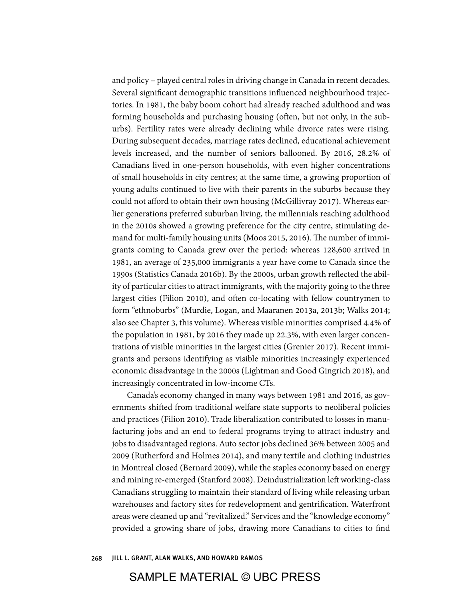and policy – played central roles in driving change in Canada in recent decades. Several significant demographic transitions influenced neighbourhood trajectories. In 1981, the baby boom cohort had already reached adulthood and was forming households and purchasing housing (often, but not only, in the suburbs). Fertility rates were already declining while divorce rates were rising. During subsequent decades, marriage rates declined, educational achievement levels increased, and the number of seniors ballooned. By 2016, 28.2% of Canadians lived in one-person households, with even higher concentrations of small households in city centres; at the same time, a growing proportion of young adults continued to live with their parents in the suburbs because they could not afford to obtain their own housing (McGillivray 2017). Whereas earlier generations preferred suburban living, the millennials reaching adulthood in the 2010s showed a growing preference for the city centre, stimulating demand for multi-family housing units (Moos 2015, 2016). The number of immigrants coming to Canada grew over the period: whereas 128,600 arrived in 1981, an average of 235,000 immigrants a year have come to Canada since the 1990s (Statistics Canada 2016b). By the 2000s, urban growth reflected the ability of particular cities to attract immigrants, with the majority going to the three largest cities (Filion 2010), and often co-locating with fellow countrymen to form "ethnoburbs" (Murdie, Logan, and Maaranen 2013a, 2013b; Walks 2014; also see Chapter 3, this volume). Whereas visible minorities comprised 4.4% of the population in 1981, by 2016 they made up 22.3%, with even larger concentrations of visible minorities in the largest cities (Grenier 2017). Recent immigrants and persons identifying as visible minorities increasingly experienced economic disadvantage in the 2000s (Lightman and Good Gingrich 2018), and increasingly concentrated in low-income CTs.

Canada's economy changed in many ways between 1981 and 2016, as governments shifted from traditional welfare state supports to neoliberal policies and practices (Filion 2010). Trade liberalization contributed to losses in manufacturing jobs and an end to federal programs trying to attract industry and jobs to disadvantaged regions. Auto sector jobs declined 36% between 2005 and 2009 (Rutherford and Holmes 2014), and many textile and clothing industries in Montreal closed (Bernard 2009), while the staples economy based on energy and mining re-emerged (Stanford 2008). Deindustrialization left working-class Canadians struggling to maintain their standard of living while releasing urban warehouses and factory sites for redevelopment and gentrification. Waterfront areas were cleaned up and "revitalized." Services and the "knowledge economy" provided a growing share of jobs, drawing more Canadians to cities to find

268 JILL L. GRANT, ALAN WALKS, AND HOWARD RAMOS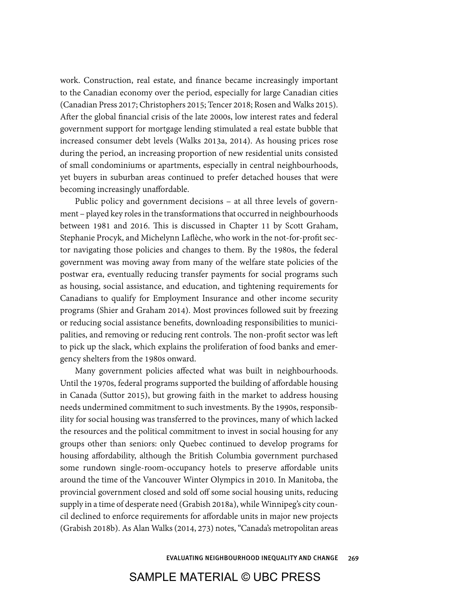work. Construction, real estate, and finance became increasingly important to the Canadian economy over the period, especially for large Canadian cities (Canadian Press 2017; Christophers 2015; Tencer 2018; Rosen and Walks 2015). After the global financial crisis of the late 2000s, low interest rates and federal government support for mortgage lending stimulated a real estate bubble that increased consumer debt levels (Walks 2013a, 2014). As housing prices rose during the period, an increasing proportion of new residential units consisted of small condominiums or apartments, especially in central neighbourhoods, yet buyers in suburban areas continued to prefer detached houses that were becoming increasingly unaffordable.

Public policy and government decisions – at all three levels of government – played key roles in the transformations that occurred in neighbourhoods between 1981 and 2016. This is discussed in Chapter 11 by Scott Graham, Stephanie Procyk, and Michelynn Laflèche, who work in the not-for-profit sector navigating those policies and changes to them. By the 1980s, the federal government was moving away from many of the welfare state policies of the postwar era, eventually reducing transfer payments for social programs such as housing, social assistance, and education, and tightening requirements for Canadians to qualify for Employment Insurance and other income security programs (Shier and Graham 2014). Most provinces followed suit by freezing or reducing social assistance benefits, downloading responsibilities to municipalities, and removing or reducing rent controls. The non-profit sector was left to pick up the slack, which explains the proliferation of food banks and emergency shelters from the 1980s onward.

Many government policies affected what was built in neighbourhoods. Until the 1970s, federal programs supported the building of affordable housing in Canada (Suttor 2015), but growing faith in the market to address housing needs undermined commitment to such investments. By the 1990s, responsibility for social housing was transferred to the provinces, many of which lacked the resources and the political commitment to invest in social housing for any groups other than seniors: only Quebec continued to develop programs for housing affordability, although the British Columbia government purchased some rundown single-room-occupancy hotels to preserve affordable units around the time of the Vancouver Winter Olympics in 2010. In Manitoba, the provincial government closed and sold off some social housing units, reducing supply in a time of desperate need (Grabish 2018a), while Winnipeg's city council declined to enforce requirements for affordable units in major new projects (Grabish 2018b). As Alan Walks (2014, 273) notes, "Canada's metropolitan areas

EVALUATING NEIGHBOURHOOD INEQUALITY AND CHANGE 269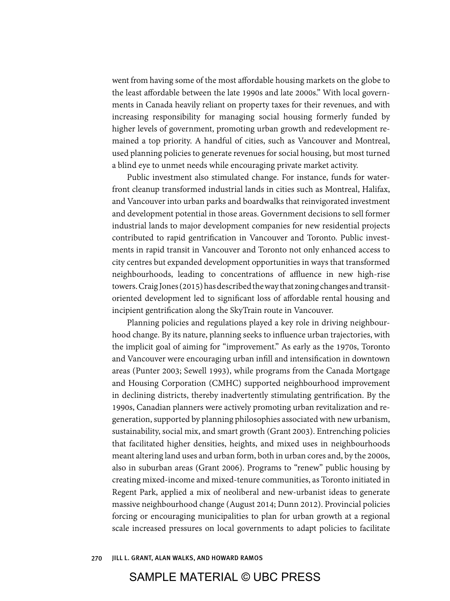went from having some of the most affordable housing markets on the globe to the least affordable between the late 1990s and late 2000s." With local governments in Canada heavily reliant on property taxes for their revenues, and with increasing responsibility for managing social housing formerly funded by higher levels of government, promoting urban growth and redevelopment remained a top priority. A handful of cities, such as Vancouver and Montreal, used planning policies to generate revenues for social housing, but most turned a blind eye to unmet needs while encouraging private market activity.

Public investment also stimulated change. For instance, funds for waterfront cleanup transformed industrial lands in cities such as Montreal, Halifax, and Vancouver into urban parks and boardwalks that reinvigorated investment and development potential in those areas. Government decisions to sell former industrial lands to major development companies for new residential projects contributed to rapid gentrification in Vancouver and Toronto. Public investments in rapid transit in Vancouver and Toronto not only enhanced access to city centres but expanded development opportunities in ways that transformed neighbourhoods, leading to concentrations of affluence in new high-rise towers. Craig Jones (2015) has described the way that zoning changes and transitoriented development led to significant loss of affordable rental housing and incipient gentrification along the SkyTrain route in Vancouver.

Planning policies and regulations played a key role in driving neighbourhood change. By its nature, planning seeks to influence urban trajectories, with the implicit goal of aiming for "improvement." As early as the 1970s, Toronto and Vancouver were encouraging urban infill and intensification in downtown areas (Punter 2003; Sewell 1993), while programs from the Canada Mortgage and Housing Corporation (CMHC) supported neighbourhood improvement in declining districts, thereby inadvertently stimulating gentrification. By the 1990s, Canadian planners were actively promoting urban revitalization and regeneration, supported by planning philosophies associated with new urbanism, sustainability, social mix, and smart growth (Grant 2003). Entrenching policies that facilitated higher densities, heights, and mixed uses in neighbourhoods meant altering land uses and urban form, both in urban cores and, by the 2000s, also in suburban areas (Grant 2006). Programs to "renew" public housing by creating mixed-income and mixed-tenure communities, as Toronto initiated in Regent Park, applied a mix of neoliberal and new-urbanist ideas to generate massive neighbourhood change (August 2014; Dunn 2012). Provincial policies forcing or encouraging municipalities to plan for urban growth at a regional scale increased pressures on local governments to adapt policies to facilitate

270 JILL L. GRANT, ALAN WALKS, AND HOWARD RAMOS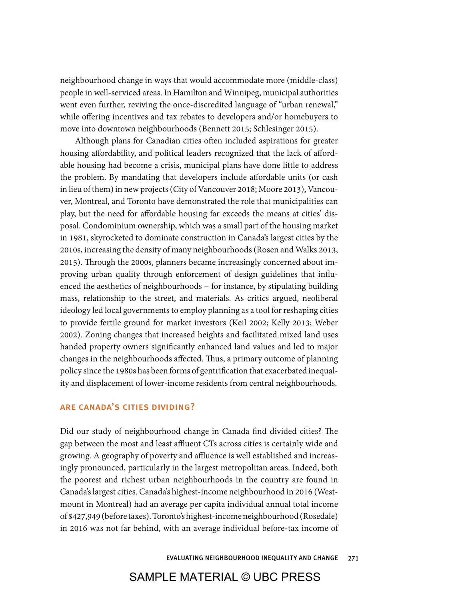neighbourhood change in ways that would accommodate more (middle-class) people in well-serviced areas. In Hamilton and Winnipeg, municipal authorities went even further, reviving the once-discredited language of "urban renewal," while offering incentives and tax rebates to developers and/or homebuyers to move into downtown neighbourhoods (Bennett 2015; Schlesinger 2015).

Although plans for Canadian cities often included aspirations for greater housing affordability, and political leaders recognized that the lack of affordable housing had become a crisis, municipal plans have done little to address the problem. By mandating that developers include affordable units (or cash in lieu of them) in new projects (City of Vancouver 2018; Moore 2013), Vancouver, Montreal, and Toronto have demonstrated the role that municipalities can play, but the need for affordable housing far exceeds the means at cities' disposal. Condominium ownership, which was a small part of the housing market in 1981, skyrocketed to dominate construction in Canada's largest cities by the 2010s, increasing the density of many neighbourhoods (Rosen and Walks 2013, 2015). Through the 2000s, planners became increasingly concerned about improving urban quality through enforcement of design guidelines that influenced the aesthetics of neighbourhoods – for instance, by stipulating building mass, relationship to the street, and materials. As critics argued, neoliberal ideology led local governments to employ planning as a tool for reshaping cities to provide fertile ground for market investors (Keil 2002; Kelly 2013; Weber 2002). Zoning changes that increased heights and facilitated mixed land uses handed property owners significantly enhanced land values and led to major changes in the neighbourhoods affected. Thus, a primary outcome of planning policy since the 1980s has been forms of gentrification that exacerbated inequality and displacement of lower-income residents from central neighbourhoods.

### Are Canada's Cities Dividing?

Did our study of neighbourhood change in Canada find divided cities? The gap between the most and least affluent CTs across cities is certainly wide and growing. A geography of poverty and affluence is well established and increasingly pronounced, particularly in the largest metropolitan areas. Indeed, both the poorest and richest urban neighbourhoods in the country are found in Canada's largest cities. Canada's highest-income neighbourhood in 2016 (Westmount in Montreal) had an average per capita individual annual total income of \$427,949 (before taxes). Toronto's highest-income neighbourhood (Rosedale) in 2016 was not far behind, with an average individual before-tax income of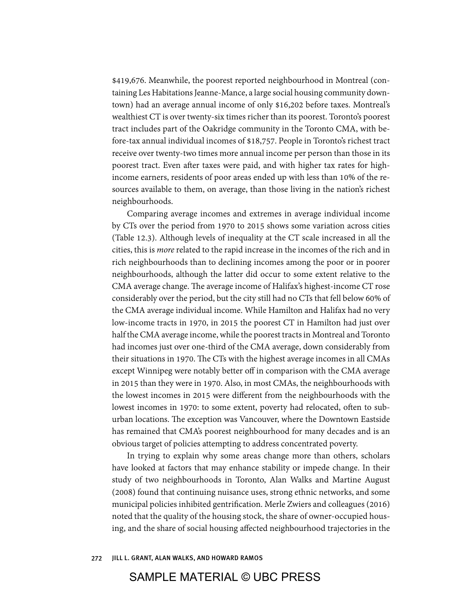\$419,676. Meanwhile, the poorest reported neighbourhood in Montreal (containing Les Habitations Jeanne-Mance, a large social housing community downtown) had an average annual income of only \$16,202 before taxes. Montreal's wealthiest CT is over twenty-six times richer than its poorest. Toronto's poorest tract includes part of the Oakridge community in the Toronto CMA, with before-tax annual individual incomes of \$18,757. People in Toronto's richest tract receive over twenty-two times more annual income per person than those in its poorest tract. Even after taxes were paid, and with higher tax rates for highincome earners, residents of poor areas ended up with less than 10% of the resources available to them, on average, than those living in the nation's richest neighbourhoods.

Comparing average incomes and extremes in average individual income by CTs over the period from 1970 to 2015 shows some variation across cities (Table 12.3). Although levels of inequality at the CT scale increased in all the cities, this is *more* related to the rapid increase in the incomes of the rich and in rich neighbourhoods than to declining incomes among the poor or in poorer neighbourhoods, although the latter did occur to some extent relative to the CMA average change. The average income of Halifax's highest-income CT rose considerably over the period, but the city still had no CTs that fell below 60% of the CMA average individual income. While Hamilton and Halifax had no very low-income tracts in 1970, in 2015 the poorest CT in Hamilton had just over half the CMA average income, while the poorest tracts in Montreal and Toronto had incomes just over one-third of the CMA average, down considerably from their situations in 1970. The CTs with the highest average incomes in all CMAs except Winnipeg were notably better off in comparison with the CMA average in 2015 than they were in 1970. Also, in most CMAs, the neighbourhoods with the lowest incomes in 2015 were different from the neighbourhoods with the lowest incomes in 1970: to some extent, poverty had relocated, often to suburban locations. The exception was Vancouver, where the Downtown Eastside has remained that CMA's poorest neighbourhood for many decades and is an obvious target of policies attempting to address concentrated poverty.

In trying to explain why some areas change more than others, scholars have looked at factors that may enhance stability or impede change. In their study of two neighbourhoods in Toronto, Alan Walks and Martine August (2008) found that continuing nuisance uses, strong ethnic networks, and some municipal policies inhibited gentrification. Merle Zwiers and colleagues (2016) noted that the quality of the housing stock, the share of owner-occupied housing, and the share of social housing affected neighbourhood trajectories in the

272 JILL L. GRANT, ALAN WALKS, AND HOWARD RAMOS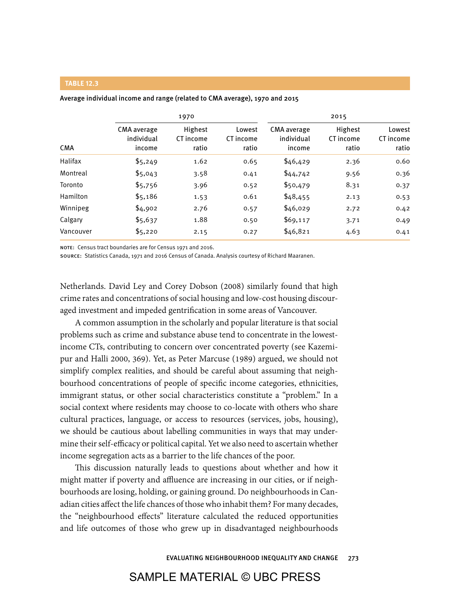#### **TABLE 12.3**

|            |                                     | 1970                          |                              |                                            | 2015                          |                              |  |
|------------|-------------------------------------|-------------------------------|------------------------------|--------------------------------------------|-------------------------------|------------------------------|--|
| <b>CMA</b> | CMA average<br>individual<br>income | Highest<br>CT income<br>ratio | Lowest<br>CT income<br>ratio | <b>CMA</b> average<br>individual<br>income | Highest<br>CT income<br>ratio | Lowest<br>CT income<br>ratio |  |
| Halifax    | \$5,249                             | 1.62                          | 0.65                         | \$46,429                                   | 2.36                          | 0.60                         |  |
| Montreal   | \$5,043                             | 3.58                          | 0.41                         | \$44,742                                   | 9.56                          | 0.36                         |  |
| Toronto    | \$5,756                             | 3.96                          | 0.52                         | \$50,479                                   | 8.31                          | 0.37                         |  |
| Hamilton   | \$5,186                             | 1.53                          | 0.61                         | \$48,455                                   | 2.13                          | 0.53                         |  |
| Winnipeg   | \$4,902                             | 2.76                          | 0.57                         | \$46,029                                   | 2.72                          | 0.42                         |  |
| Calgary    | \$5,637                             | 1.88                          | 0.50                         | \$69,117                                   | 3.71                          | 0.49                         |  |
| Vancouver  | \$5,220                             | 2.15                          | 0.27                         | \$46,821                                   | 4.63                          | 0.41                         |  |

#### Average individual income and range (related to CMA average), 1970 and 2015

NOTE: Census tract boundaries are for Census 1971 and 2016.

Source: Statistics Canada, 1971 and 2016 Census of Canada. Analysis courtesy of Richard Maaranen.

Netherlands. David Ley and Corey Dobson (2008) similarly found that high crime rates and concentrations of social housing and low-cost housing discouraged investment and impeded gentrification in some areas of Vancouver.

A common assumption in the scholarly and popular literature is that social problems such as crime and substance abuse tend to concentrate in the lowestincome CTs, contributing to concern over concentrated poverty (see Kazemipur and Halli 2000, 369). Yet, as Peter Marcuse (1989) argued, we should not simplify complex realities, and should be careful about assuming that neighbourhood concentrations of people of specific income categories, ethnicities, immigrant status, or other social characteristics constitute a "problem." In a social context where residents may choose to co-locate with others who share cultural practices, language, or access to resources (services, jobs, housing), we should be cautious about labelling communities in ways that may undermine their self-efficacy or political capital. Yet we also need to ascertain whether income segregation acts as a barrier to the life chances of the poor.

This discussion naturally leads to questions about whether and how it might matter if poverty and affluence are increasing in our cities, or if neighbourhoods are losing, holding, or gaining ground. Do neighbourhoods in Canadian cities affect the life chances of those who inhabit them? For many decades, the "neighbourhood effects" literature calculated the reduced opportunities and life outcomes of those who grew up in disadvantaged neighbourhoods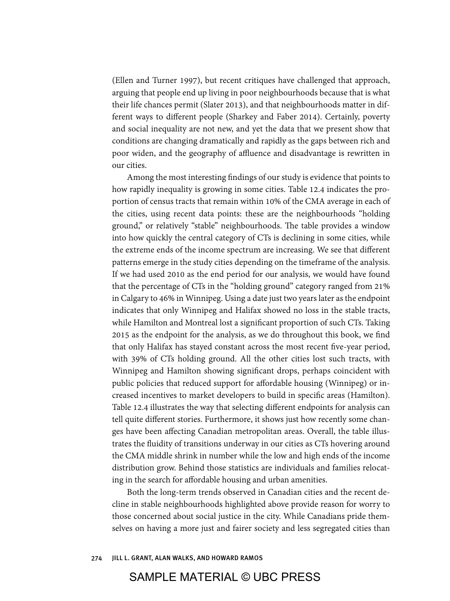(Ellen and Turner 1997), but recent critiques have challenged that approach, arguing that people end up living in poor neighbourhoods because that is what their life chances permit (Slater 2013), and that neighbourhoods matter in different ways to different people (Sharkey and Faber 2014). Certainly, poverty and social inequality are not new, and yet the data that we present show that conditions are changing dramatically and rapidly as the gaps between rich and poor widen, and the geography of affluence and disadvantage is rewritten in our cities.

Among the most interesting findings of our study is evidence that points to how rapidly inequality is growing in some cities. Table 12.4 indicates the proportion of census tracts that remain within 10% of the CMA average in each of the cities, using recent data points: these are the neighbourhoods "holding ground," or relatively "stable" neighbourhoods. The table provides a window into how quickly the central category of CTs is declining in some cities, while the extreme ends of the income spectrum are increasing. We see that different patterns emerge in the study cities depending on the timeframe of the analysis. If we had used 2010 as the end period for our analysis, we would have found that the percentage of CTs in the "holding ground" category ranged from 21% in Calgary to 46% in Winnipeg. Using a date just two years later as the endpoint indicates that only Winnipeg and Halifax showed no loss in the stable tracts, while Hamilton and Montreal lost a significant proportion of such CTs. Taking 2015 as the endpoint for the analysis, as we do throughout this book, we find that only Halifax has stayed constant across the most recent five-year period, with 39% of CTs holding ground. All the other cities lost such tracts, with Winnipeg and Hamilton showing significant drops, perhaps coincident with public policies that reduced support for affordable housing (Winnipeg) or increased incentives to market developers to build in specific areas (Hamilton). Table 12.4 illustrates the way that selecting different endpoints for analysis can tell quite different stories. Furthermore, it shows just how recently some changes have been affecting Canadian metropolitan areas. Overall, the table illustrates the fluidity of transitions underway in our cities as CTs hovering around the CMA middle shrink in number while the low and high ends of the income distribution grow. Behind those statistics are individuals and families relocating in the search for affordable housing and urban amenities.

Both the long-term trends observed in Canadian cities and the recent decline in stable neighbourhoods highlighted above provide reason for worry to those concerned about social justice in the city. While Canadians pride themselves on having a more just and fairer society and less segregated cities than

274 JILL L. GRANT, ALAN WALKS, AND HOWARD RAMOS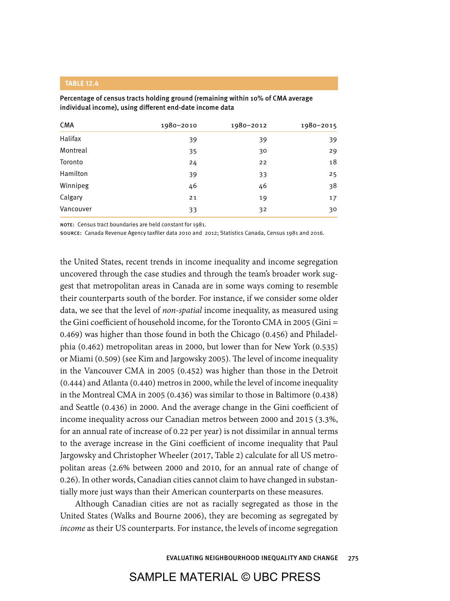#### **TABLE 12.4**

Percentage of census tracts holding ground (remaining within 10% of CMA average individual income), using different end-date income data

| <b>CMA</b> | 1980-2010 | 1980-2012 | 1980-2015 |
|------------|-----------|-----------|-----------|
| Halifax    | 39        | 39        | 39        |
| Montreal   | 35        | 30        | 29        |
| Toronto    | 24        | 22        | 18        |
| Hamilton   | 39        | 33        | 25        |
| Winnipeg   | 46        | 46        | 38        |
| Calgary    | 21        | 19        | 17        |
| Vancouver  | 33        | 32        | 30        |

NOTE: Census tract boundaries are held constant for 1981.

Source: Canada Revenue Agency taxfiler data 2010 and 2012; Statistics Canada, Census 1981 and 2016.

the United States, recent trends in income inequality and income segregation uncovered through the case studies and through the team's broader work suggest that metropolitan areas in Canada are in some ways coming to resemble their counterparts south of the border. For instance, if we consider some older data, we see that the level of *non-spatial* income inequality, as measured using the Gini coefficient of household income, for the Toronto CMA in 2005 (Gini = 0.469) was higher than those found in both the Chicago (0.456) and Philadelphia (0.462) metropolitan areas in 2000, but lower than for New York (0.535) or Miami (0.509) (see Kim and Jargowsky 2005). The level of income inequality in the Vancouver CMA in 2005 (0.452) was higher than those in the Detroit (0.444) and Atlanta (0.440) metros in 2000, while the level of income inequality in the Montreal CMA in 2005 (0.436) was similar to those in Baltimore (0.438) and Seattle (0.436) in 2000. And the average change in the Gini coefficient of income inequality across our Canadian metros between 2000 and 2015 (3.3%, for an annual rate of increase of 0.22 per year) is not dissimilar in annual terms to the average increase in the Gini coefficient of income inequality that Paul Jargowsky and Christopher Wheeler (2017, Table 2) calculate for all US metropolitan areas (2.6% between 2000 and 2010, for an annual rate of change of 0.26). In other words, Canadian cities cannot claim to have changed in substantially more just ways than their American counterparts on these measures.

Although Canadian cities are not as racially segregated as those in the United States (Walks and Bourne 2006), they are becoming as segregated by *income* as their US counterparts. For instance, the levels of income segregation

EVALUATING NEIGHBOURHOOD INEQUALITY AND CHANGE 275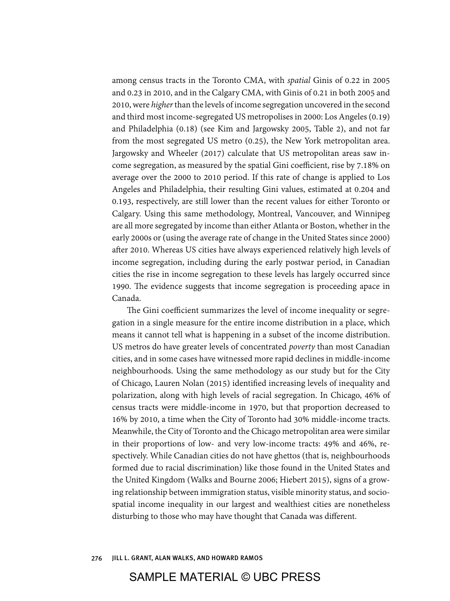among census tracts in the Toronto CMA, with *spatial* Ginis of 0.22 in 2005 and 0.23 in 2010, and in the Calgary CMA, with Ginis of 0.21 in both 2005 and 2010, were *higher* than the levels of income segregation uncovered in the second and third most income-segregated US metropolises in 2000: Los Angeles (0.19) and Philadelphia (0.18) (see Kim and Jargowsky 2005, Table 2), and not far from the most segregated US metro (0.25), the New York metropolitan area. Jargowsky and Wheeler (2017) calculate that US metropolitan areas saw income segregation, as measured by the spatial Gini coefficient, rise by 7.18% on average over the 2000 to 2010 period. If this rate of change is applied to Los Angeles and Philadelphia, their resulting Gini values, estimated at 0.204 and 0.193, respectively, are still lower than the recent values for either Toronto or Calgary. Using this same methodology, Montreal, Vancouver, and Winnipeg are all more segregated by income than either Atlanta or Boston, whether in the early 2000s or (using the average rate of change in the United States since 2000) after 2010. Whereas US cities have always experienced relatively high levels of income segregation, including during the early postwar period, in Canadian cities the rise in income segregation to these levels has largely occurred since 1990. The evidence suggests that income segregation is proceeding apace in Canada.

The Gini coefficient summarizes the level of income inequality or segregation in a single measure for the entire income distribution in a place, which means it cannot tell what is happening in a subset of the income distribution. US metros do have greater levels of concentrated *poverty* than most Canadian cities, and in some cases have witnessed more rapid declines in middle-income neighbourhoods. Using the same methodology as our study but for the City of Chicago, Lauren Nolan (2015) identified increasing levels of inequality and polarization, along with high levels of racial segregation. In Chicago, 46% of census tracts were middle-income in 1970, but that proportion decreased to 16% by 2010, a time when the City of Toronto had 30% middle-income tracts. Meanwhile, the City of Toronto and the Chicago metropolitan area were similar in their proportions of low- and very low-income tracts: 49% and 46%, respectively. While Canadian cities do not have ghettos (that is, neighbourhoods formed due to racial discrimination) like those found in the United States and the United Kingdom (Walks and Bourne 2006; Hiebert 2015), signs of a growing relationship between immigration status, visible minority status, and sociospatial income inequality in our largest and wealthiest cities are nonetheless disturbing to those who may have thought that Canada was different.

276 JILL L. GRANT, ALAN WALKS, AND HOWARD RAMOS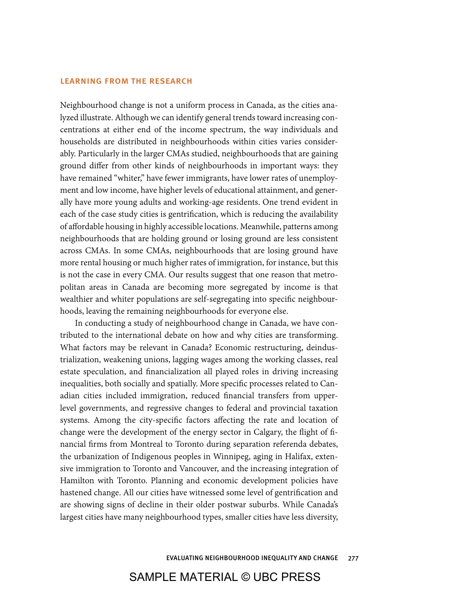### Learning from the Research

Neighbourhood change is not a uniform process in Canada, as the cities analyzed illustrate. Although we can identify general trends toward increasing concentrations at either end of the income spectrum, the way individuals and households are distributed in neighbourhoods within cities varies considerably. Particularly in the larger CMAs studied, neighbourhoods that are gaining ground differ from other kinds of neighbourhoods in important ways: they have remained "whiter," have fewer immigrants, have lower rates of unemployment and low income, have higher levels of educational attainment, and generally have more young adults and working-age residents. One trend evident in each of the case study cities is gentrification, which is reducing the availability of affordable housing in highly accessible locations. Meanwhile, patterns among neighbourhoods that are holding ground or losing ground are less consistent across CMAs. In some CMAs, neighbourhoods that are losing ground have more rental housing or much higher rates of immigration, for instance, but this is not the case in every CMA. Our results suggest that one reason that metropolitan areas in Canada are becoming more segregated by income is that wealthier and whiter populations are self-segregating into specific neighbourhoods, leaving the remaining neighbourhoods for everyone else.

In conducting a study of neighbourhood change in Canada, we have contributed to the international debate on how and why cities are transforming. What factors may be relevant in Canada? Economic restructuring, deindustrialization, weakening unions, lagging wages among the working classes, real estate speculation, and financialization all played roles in driving increasing inequalities, both socially and spatially. More specific processes related to Canadian cities included immigration, reduced financial transfers from upperlevel governments, and regressive changes to federal and provincial taxation systems. Among the city-specific factors affecting the rate and location of change were the development of the energy sector in Calgary, the flight of financial firms from Montreal to Toronto during separation referenda debates, the urbanization of Indigenous peoples in Winnipeg, aging in Halifax, extensive immigration to Toronto and Vancouver, and the increasing integration of Hamilton with Toronto. Planning and economic development policies have hastened change. All our cities have witnessed some level of gentrification and are showing signs of decline in their older postwar suburbs. While Canada's largest cities have many neighbourhood types, smaller cities have less diversity,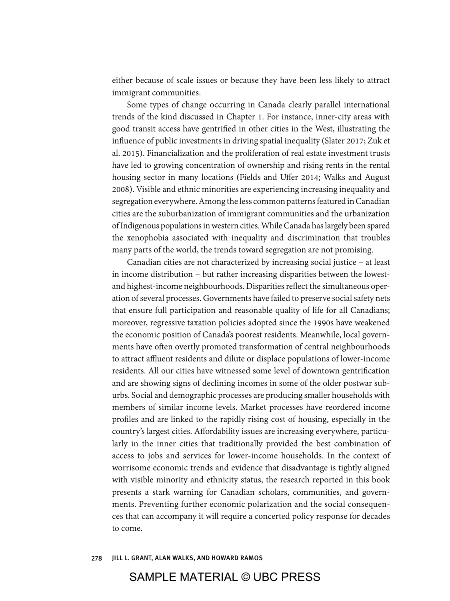either because of scale issues or because they have been less likely to attract immigrant communities.

Some types of change occurring in Canada clearly parallel international trends of the kind discussed in Chapter 1. For instance, inner-city areas with good transit access have gentrified in other cities in the West, illustrating the influence of public investments in driving spatial inequality (Slater 2017; Zuk et al. 2015). Financialization and the proliferation of real estate investment trusts have led to growing concentration of ownership and rising rents in the rental housing sector in many locations (Fields and Uffer 2014; Walks and August 2008). Visible and ethnic minorities are experiencing increasing inequality and segregation everywhere. Among the less common patterns featured in Canadian cities are the suburbanization of immigrant communities and the urbanization of Indigenous populations in western cities. While Canada has largely been spared the xenophobia associated with inequality and discrimination that troubles many parts of the world, the trends toward segregation are not promising.

Canadian cities are not characterized by increasing social justice – at least in income distribution – but rather increasing disparities between the lowestand highest-income neighbourhoods. Disparities reflect the simultaneous operation of several processes. Governments have failed to preserve social safety nets that ensure full participation and reasonable quality of life for all Canadians; moreover, regressive taxation policies adopted since the 1990s have weakened the economic position of Canada's poorest residents. Meanwhile, local governments have often overtly promoted transformation of central neighbourhoods to attract affluent residents and dilute or displace populations of lower-income residents. All our cities have witnessed some level of downtown gentrification and are showing signs of declining incomes in some of the older postwar suburbs. Social and demographic processes are producing smaller households with members of similar income levels. Market processes have reordered income profiles and are linked to the rapidly rising cost of housing, especially in the country's largest cities. Affordability issues are increasing everywhere, particularly in the inner cities that traditionally provided the best combination of access to jobs and services for lower-income households. In the context of worrisome economic trends and evidence that disadvantage is tightly aligned with visible minority and ethnicity status, the research reported in this book presents a stark warning for Canadian scholars, communities, and governments. Preventing further economic polarization and the social consequences that can accompany it will require a concerted policy response for decades to come.

278 JILL L. GRANT, ALAN WALKS, AND HOWARD RAMOS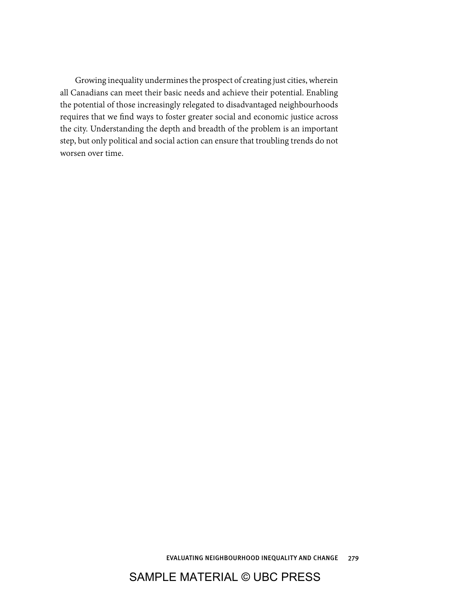Growing inequality undermines the prospect of creating just cities, wherein all Canadians can meet their basic needs and achieve their potential. Enabling the potential of those increasingly relegated to disadvantaged neighbourhoods requires that we find ways to foster greater social and economic justice across the city. Understanding the depth and breadth of the problem is an important step, but only political and social action can ensure that troubling trends do not worsen over time.

EVALUATING NEIGHBOURHOOD INEQUALITY AND CHANGE 279